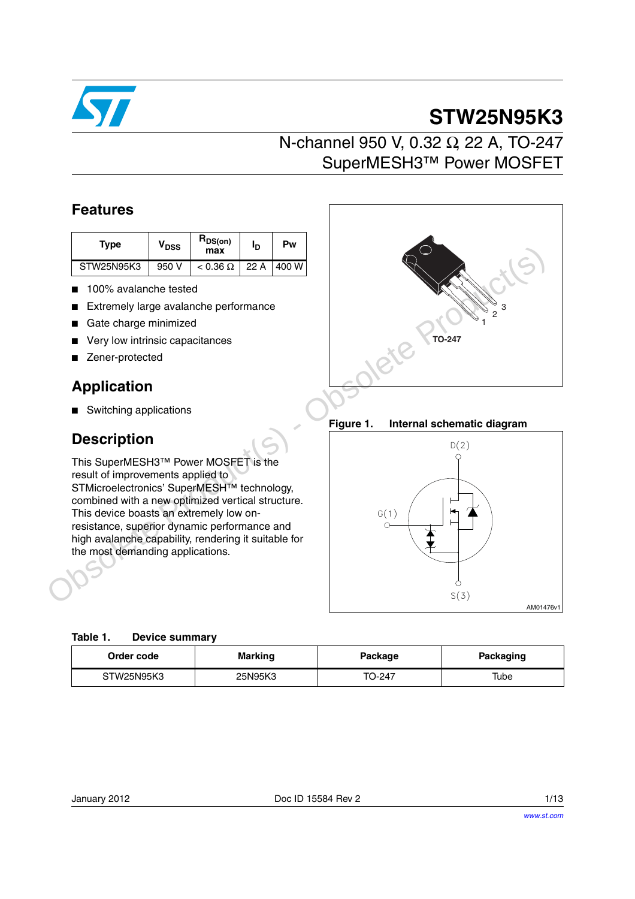

# **STW25N95K3**

### N-channel 950 V, 0.32 Ω, 22 A, TO-247 SuperMESH3™ Power MOSFET

### **Features**

| Type       | V <sub>DSS</sub> | $R_{DS(on)}$<br>max | פי   | Pw     |
|------------|------------------|---------------------|------|--------|
| STW25N95K3 | 950 V            | $< 0.36 \Omega$     | 22 A | 1400 W |

- 100% avalanche tested
- Extremely large avalanche performance
- Gate charge minimized
- Very low intrinsic capacitances
- Zener-protected

### **Application**

■ Switching applications

### **Description**

This SuperMESH3™ Power MOSFET is the result of improvements applied to STMicroelectronics' SuperMESH<sup>™</sup> technology, combined with a new optimized vertical structure. This device boasts an extremely low onresistance, superior dynamic performance and high avalanche capability, rendering it suitable for the most demanding applications.

| 3                  |
|--------------------|
| 2<br><b>TO-247</b> |
|                    |

**Figure 1. Internal schematic diagram**



| Order code | <b>Marking</b> | Package | <b>Packaging</b> |
|------------|----------------|---------|------------------|
| STW25N95K3 | 25N95K3        | TO-247  | Tube             |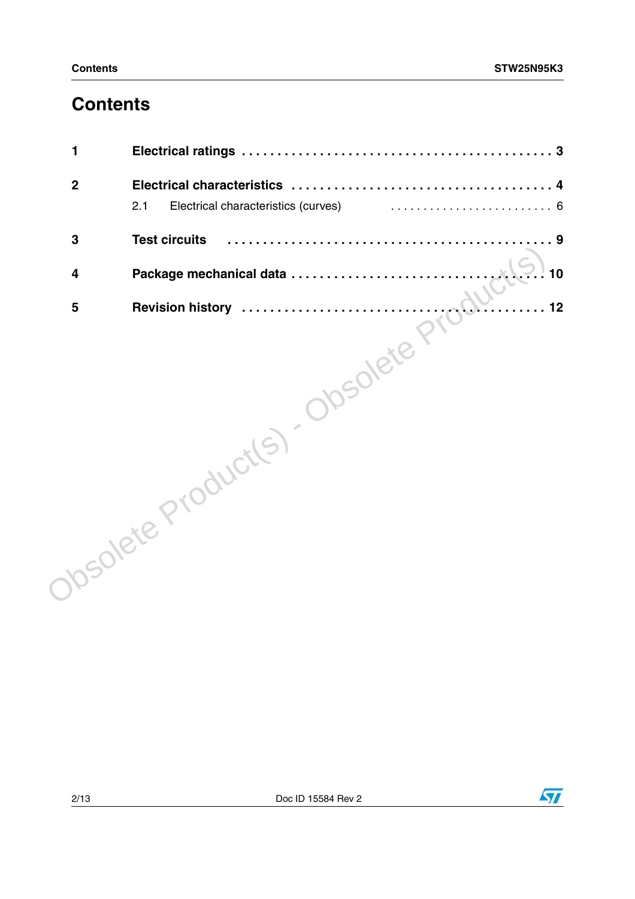### **Contents**

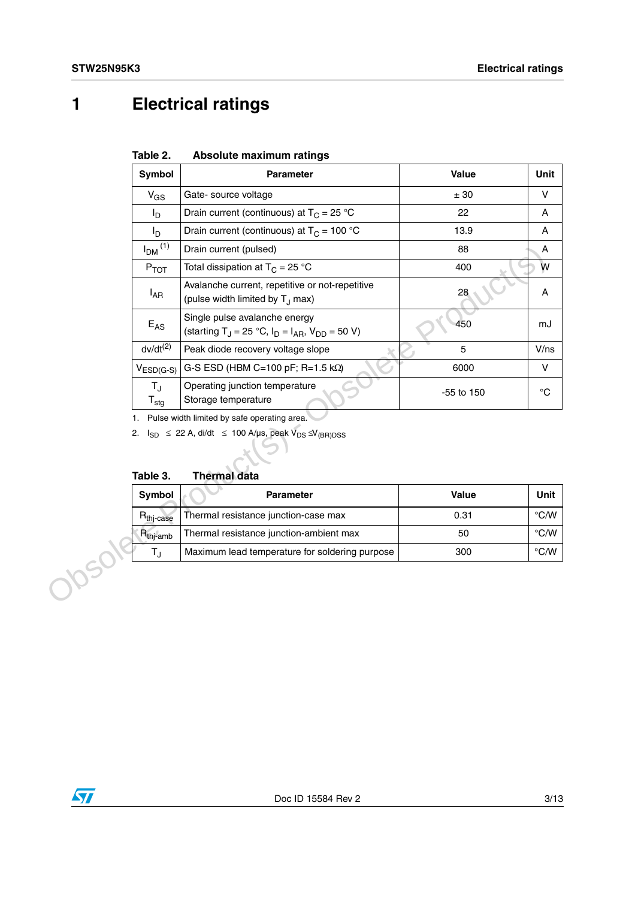## <span id="page-2-0"></span>**1 Electrical ratings**

| Table 2. | Absolute maximum ratings |  |
|----------|--------------------------|--|
|          |                          |  |

| Symbol                                | <b>Parameter</b>                                                                                      | <b>Value</b> | Unit           |
|---------------------------------------|-------------------------------------------------------------------------------------------------------|--------------|----------------|
| $V_{GS}$                              | Gate- source voltage                                                                                  | ± 30         | V              |
| I <sub>D</sub>                        | Drain current (continuous) at $T_C = 25$ °C                                                           | 22           | Α              |
| l <sub>D</sub>                        | Drain current (continuous) at $T_C = 100 °C$                                                          | 13.9         | A              |
| $I_{DM}$ <sup>(1)</sup>               | Drain current (pulsed)                                                                                | 88           | A              |
| $P_{TOT}$                             | Total dissipation at $T_C = 25 °C$                                                                    | 400          | W              |
| $I_{AR}$                              | Avalanche current, repetitive or not-repetitive<br>(pulse width limited by T <sub>J</sub> max)        | 28           | Α              |
| $E_{AS}$                              | Single pulse avalanche energy<br>(starting T <sub>J</sub> = 25 °C, $I_D = I_{AR}$ , $V_{DD} = 50 V$ ) | 450          | mJ             |
| $dv/dt^{(2)}$                         | Peak diode recovery voltage slope                                                                     | 5            | V/ns           |
| $V_{ESD(G-S)}$                        | G-S ESD (HBM C=100 pF; R=1.5 k $\Omega$ )                                                             | 6000         | V              |
|                                       |                                                                                                       |              |                |
| $T_{\rm J}$<br>$T_{\text{stg}}$<br>1. | Operating junction temperature<br>Storage temperature<br>Pulse width limited by safe operating area.  | -55 to 150   | $^{\circ}C$    |
| Table 3.                              | 2. $I_{SD} \le 22$ A, di/dt $\le 100$ A/µs, peak $V_{DS} \le V_{(BR)DSS}$<br><b>Thermal data</b>      |              |                |
| Symbol                                | <b>Parameter</b>                                                                                      | Value        | Unit           |
| R <sub>thj-case</sub>                 | Thermal resistance junction-case max                                                                  | 0.31         | $^{\circ}$ C/W |
| $R_{thj-amb}$                         | Thermal resistance junction-ambient max                                                               | 50           | $^{\circ}$ C/W |

**Table 3. Thermal data**

| <b>Symbol</b>         | <b>Parameter</b>                               | Value | Unit          |
|-----------------------|------------------------------------------------|-------|---------------|
| $R_{\text{thi-case}}$ | Thermal resistance junction-case max           | 0.31  | $\degree$ C/W |
| $R_{\text{thi-amb}}$  | Thermal resistance junction-ambient max        | 50    | $\degree$ C/W |
|                       | Maximum lead temperature for soldering purpose | 300   | $\degree$ C/W |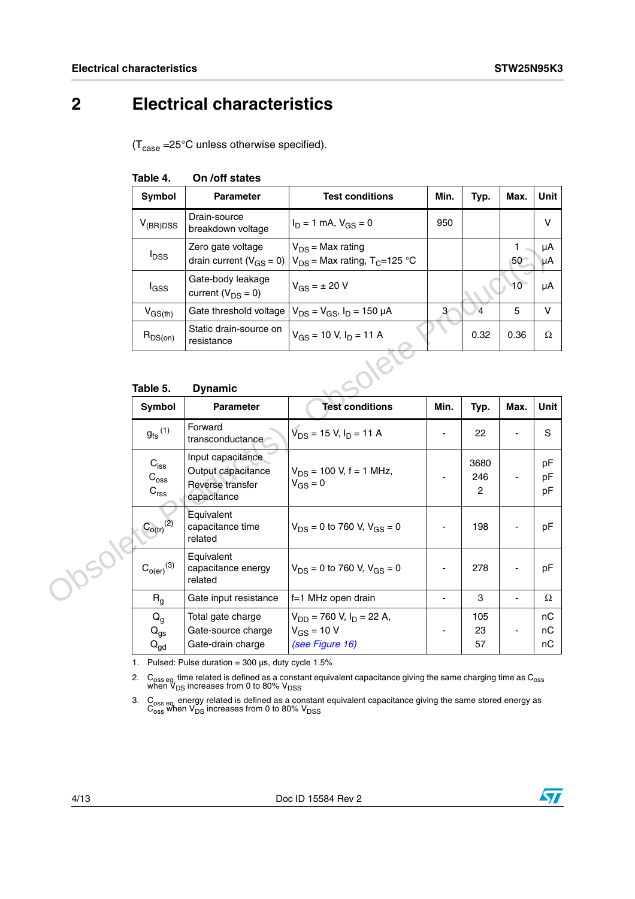### <span id="page-3-0"></span>**2 Electrical characteristics**

 $(T_{\text{case}} = 25^{\circ} \text{C}$  unless otherwise specified).

| Symbol                  | <b>Parameter</b>                                    | <b>Test conditions</b>                                                 | Min. | Typ.           | Max. | Unit     |
|-------------------------|-----------------------------------------------------|------------------------------------------------------------------------|------|----------------|------|----------|
| $V_{(BR)DSS}$           | Drain-source<br>breakdown voltage                   | $I_D = 1$ mA, $V_{GS} = 0$                                             | 950  |                |      | v        |
| <b>I</b> <sub>DSS</sub> | Zero gate voltage<br>drain current ( $V_{GS} = 0$ ) | $V_{DS}$ = Max rating<br>$V_{DS}$ = Max rating, T <sub>C</sub> =125 °C |      |                | 50   | μA<br>μA |
| l <sub>GSS</sub>        | Gate-body leakage<br>current ( $V_{DS} = 0$ )       | $V_{GS} = \pm 20 V$                                                    |      |                | 10   | μA       |
| $V_{GS(th)}$            | Gate threshold voltage                              | $V_{DS} = V_{GS}$ , $I_D = 150 \mu A$                                  | 3    | $\overline{4}$ | 5    | $\vee$   |
| $R_{DS(on)}$            | Static drain-source on<br>resistance                | $V_{GS}$ = 10 V, $I_D$ = 11 A                                          |      | 0.32           | 0.36 | Ω        |

### **Table 4. On /off states**

#### **Table 5. Dynamic**

| $I_{DSS}$                                       | Zero gate voltage<br>drain current ( $V_{GS} = 0$ )                        | $V_{DS}$ = Max rating<br>$V_{DS}$ = Max rating, T <sub>C</sub> =125 °C |                          |                               | 1<br>50        | μΑ<br>$\mu$ A  |
|-------------------------------------------------|----------------------------------------------------------------------------|------------------------------------------------------------------------|--------------------------|-------------------------------|----------------|----------------|
| l <sub>GSS</sub>                                | Gate-body leakage<br>current ( $V_{DS} = 0$ )                              | $V_{GS} = \pm 20 V$                                                    |                          |                               | 10             | μA             |
| $V_{GS(th)}$                                    | Gate threshold voltage                                                     | $V_{DS} = V_{GS}$ , $I_D = 150 \mu A$                                  | $\mathbf{3}$             | $\overline{4}$                | 5              | $\mathsf{V}$   |
| $R_{DS(on)}$                                    | Static drain-source on<br>resistance                                       | $V_{GS}$ = 10 V, $I_D$ = 11 A                                          |                          | 0.32                          | 0.36           | Ω              |
| Table 5.                                        | <b>Dynamic</b>                                                             |                                                                        |                          |                               |                |                |
| Symbol                                          | <b>Parameter</b>                                                           | <b>Test conditions</b>                                                 | Min.                     | Typ.                          | Max.           | Unit           |
| $g_{\mathsf{fs}}^{\phantom{\mathsf{fs}}}$ (1)   | Forward<br>transconductance                                                | $\bar{V}_{DS}$ = 15 V, I <sub>D</sub> = 11 A                           |                          | 22                            |                | S              |
| $C_{\text{iss}}$<br>$C_{\rm{oss}}$<br>$C_{rss}$ | Input capacitance<br>Output capacitance<br>Reverse transfer<br>capacitance | $V_{DS}$ = 100 V, f = 1 MHz,<br>$V_{GS} = 0$                           |                          | 3680<br>246<br>$\overline{c}$ |                | pF<br>pF<br>pF |
| $C_{o(tr)}^{(2)}$                               | Equivalent<br>capacitance time<br>related                                  | $V_{DS} = 0$ to 760 V, $V_{GS} = 0$                                    |                          | 198                           |                | pF             |
| $C_{o(er)}^{(3)}$                               | Equivalent<br>capacitance energy<br>related                                | $V_{DS} = 0$ to 760 V, $V_{GS} = 0$                                    |                          | 278                           |                | pF             |
| R <sub>g</sub>                                  | Gate input resistance                                                      | f=1 MHz open drain                                                     | $\overline{\phantom{a}}$ | 3                             | $\blacksquare$ | Ω              |
| $Q_{q}$                                         | Total gate charge                                                          | $V_{DD}$ = 760 V, $I_D$ = 22 A,                                        |                          | 105                           |                | nC             |
| $Q_{gs}$<br>$Q_{gd}$                            | Gate-source charge<br>Gate-drain charge                                    | $V_{GS}$ = 10 V<br>(see Figure 16)                                     |                          | 23<br>57                      |                | nC<br>nC       |

1. Pulsed: Pulse duration =  $300 \,\mu s$ , duty cycle  $1.5\%$ 

2.  $C_{\rm 0ss\,eq}$  time related is defined as a constant equivalent capacitance giving the same charging time as  $C_{\rm 0ss}$  when  $V_{\rm DS}$  increases from 0 to 80%  $V_{\rm DSS}$ 

3. C<sub>oss eq.</sub> energy related is defined as a constant equivalent capacitance giving the same stored energy as  $\overline{C_{\rm oss}}$  when  $\overline{V_{\rm DS}}$  increases from 0 to 80%  $\overline{V_{\rm DSS}}$ 

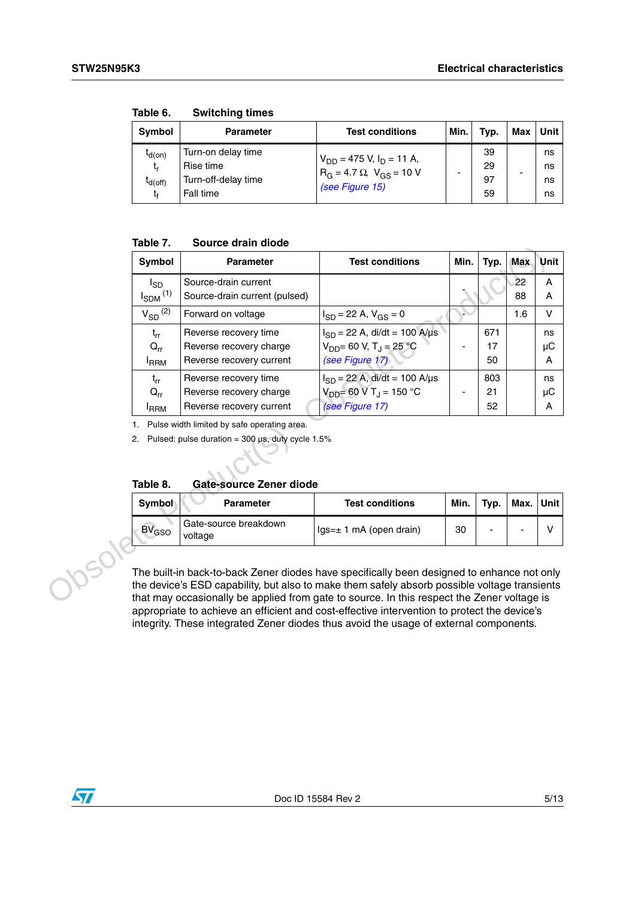| Symbol                                         | <b>Parameter</b>                                                    | <b>Test conditions</b>                                                                              | Min. | Typ.                 | Max | <b>Unit</b>          |
|------------------------------------------------|---------------------------------------------------------------------|-----------------------------------------------------------------------------------------------------|------|----------------------|-----|----------------------|
| $I_{d(on)}$<br>t,<br>I <sub>d(off)</sub><br>t. | Turn-on delay time<br>Rise time<br>Turn-off-delay time<br>Fall time | $V_{DD}$ = 475 V, I <sub>D</sub> = 11 A,<br>$R_G = 4.7 \Omega$ , $V_{GS} = 10 V$<br>(see Figure 15) |      | 39<br>29<br>97<br>59 | ۰   | ns<br>ns<br>ns<br>ns |

**Table 6. Switching times**

### **Table 7. Source drain diode**

| Symbol                  | <b>Parameter</b>                                             | <b>Test conditions</b>                      | Min. | Typ. | <b>Max</b> | <b>Unit</b> |
|-------------------------|--------------------------------------------------------------|---------------------------------------------|------|------|------------|-------------|
| <sup>I</sup> sp         | Source-drain current                                         |                                             |      |      | 22         | Α           |
|                         | Source-drain current (pulsed)                                |                                             |      |      | 88         | A           |
| $V_{SD}$ <sup>(2)</sup> | Forward on voltage                                           | $I_{SD}$ = 22 A, $V_{GS}$ = 0               |      |      | 1.6        | $\vee$      |
| $t_{rr}$                | Reverse recovery time                                        | $I_{SD}$ = 22 A, di/dt = 100 A/µs           |      | 671  |            | ns          |
| $Q_{rr}$                | Reverse recovery charge                                      | $V_{DD}$ = 60 V, T <sub>J</sub> = 25 °C     |      | 17   |            | μC          |
| <b>I</b> RRM            | Reverse recovery current                                     | (see Figure 17)                             |      | 50   |            | A           |
| $t_{rr}$                | Reverse recovery time                                        | $I_{SD} = 22$ A, di/dt = 100 A/µs           |      | 803  |            | ns          |
| $Q_{rr}$                | Reverse recovery charge                                      | $V_{DD}$ = 60 V T <sub>J</sub> = 150 °C     |      | 21   |            | μC          |
| <b>IRRM</b>             | Reverse recovery current                                     | (see Figure 17)                             |      | 52   |            | A           |
|                         | 2. Pulsed: pulse duration = $300 \mu s$ , duty cycle $1.5\%$ |                                             |      |      |            |             |
| Table 8.                | <b>Gate-source Zener diode</b>                               |                                             |      |      |            |             |
| Symbol                  | <b>Parameter</b>                                             | <b>Test conditions</b>                      | Min. | Typ. | Max.       | Unit        |
| $BV_{GSO}$              | Gate-source breakdown<br>voltage                             | $lgs = \pm 1$ mA (open drain)               | 30   |      |            | V           |
|                         | $I_{SDM}$ <sup>(1)</sup><br>1.                               | Pulse width limited by safe operating area. |      |      |            |             |

| Table 8. | Gate-source Zener diode |  |
|----------|-------------------------|--|
|          |                         |  |

| Symbol     | <b>Parameter</b>                 | <b>Test conditions</b>        | Min. | Typ. | Max. | <b>Unit</b> |
|------------|----------------------------------|-------------------------------|------|------|------|-------------|
| $BV_{GSO}$ | Gate-source breakdown<br>voltage | $lgs = \pm 1$ mA (open drain) | 30   | -    | -    |             |

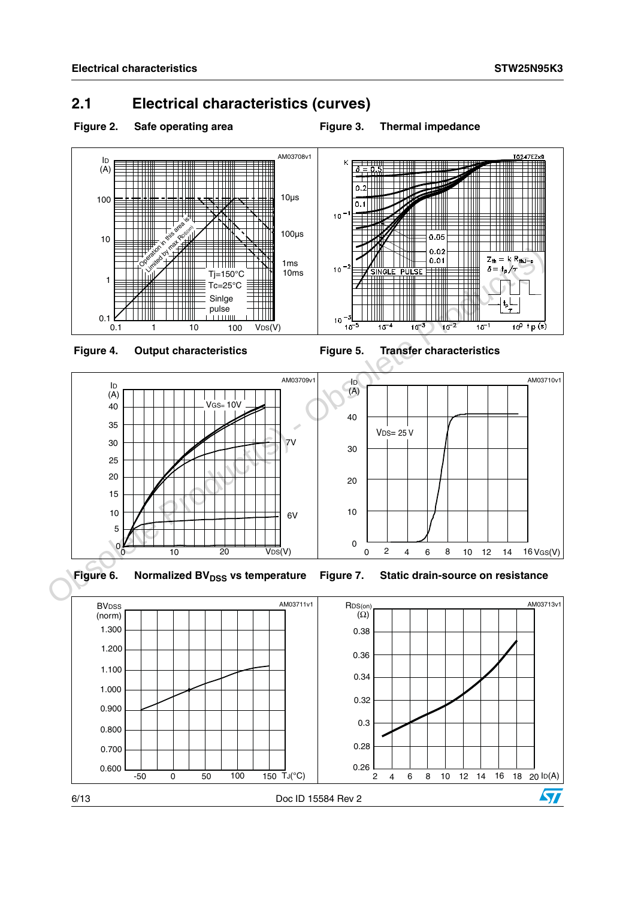### <span id="page-5-0"></span>**2.1 Electrical characteristics (curves)**



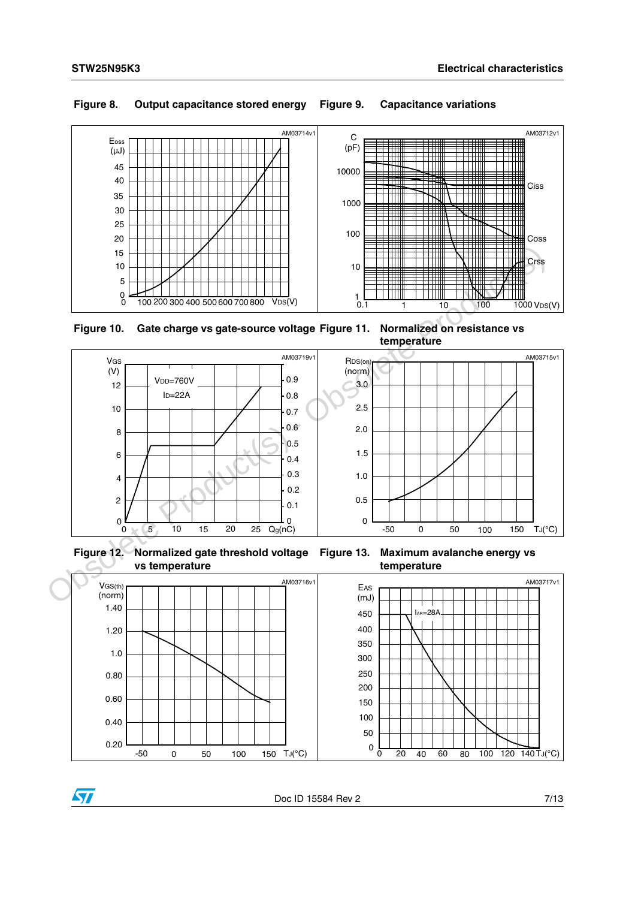### **Figure 8. Output capacitance stored energy Figure 9. Capacitance variations**



**Figure 10. Gate charge vs gate-source voltage Figure 11. Normalized on resistance vs** 





**Figure 12. Normalized gate threshold voltage** 







 $\overline{\mathbf{S}}$ 

Doc ID 15584 Rev 2 7/13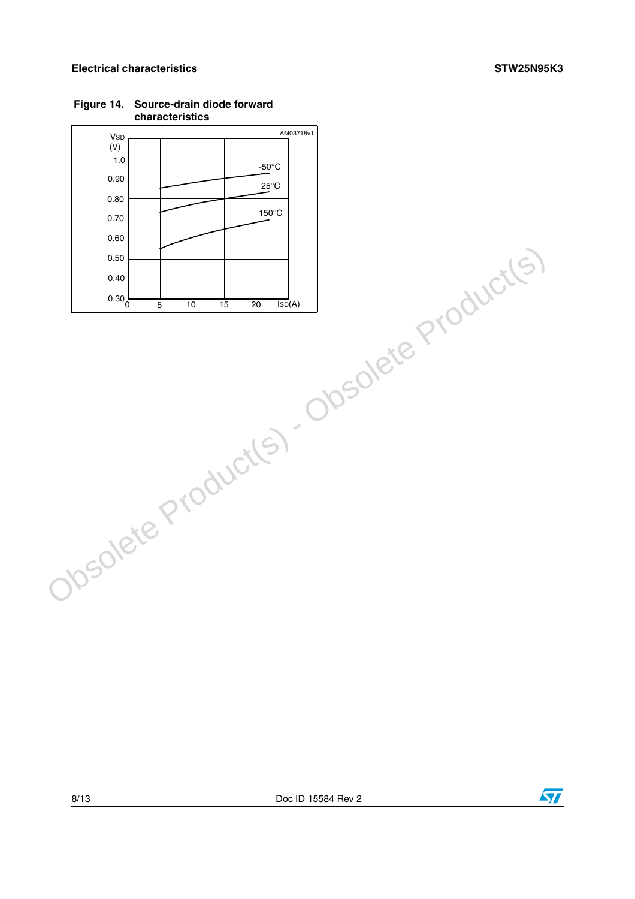| AM03718v1<br><b>V<sub>SD</sub></b>                |
|---------------------------------------------------|
| (V)                                               |
| 1.0<br>$-50^{\circ}$ C                            |
| 0.90<br>$25^{\circ}$ C                            |
| 0.80                                              |
| 150°C                                             |
| 0.70<br>Obsolete Product(s) - Obsolete Product(s) |
|                                                   |
|                                                   |
|                                                   |
|                                                   |
|                                                   |
|                                                   |
|                                                   |
|                                                   |
|                                                   |
|                                                   |
|                                                   |
|                                                   |
|                                                   |
|                                                   |
|                                                   |
|                                                   |
|                                                   |
|                                                   |
|                                                   |
|                                                   |
|                                                   |
|                                                   |
|                                                   |
|                                                   |
|                                                   |
|                                                   |

#### **Figure 14. Source-drain diode forward characteristics**

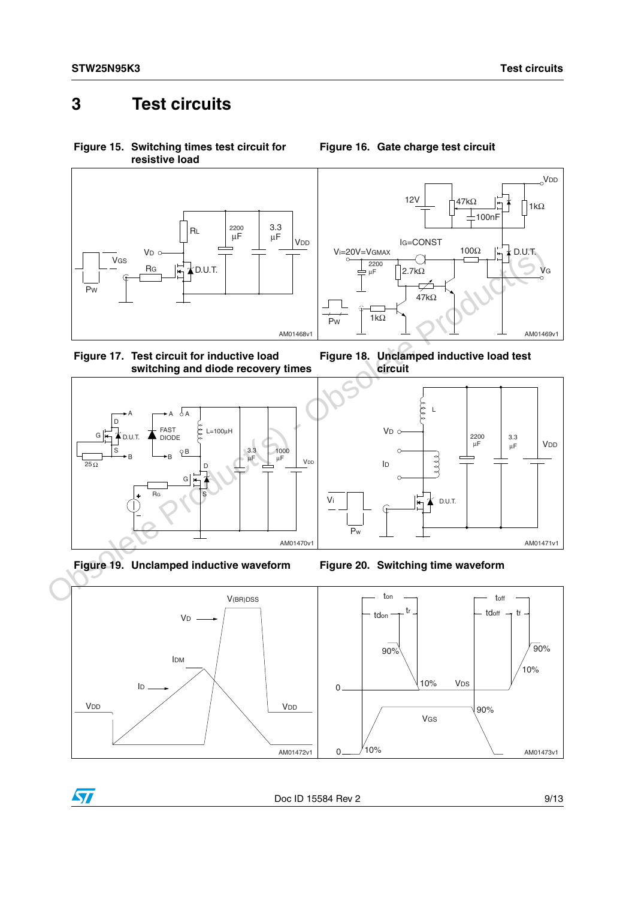### <span id="page-8-0"></span>**3 Test circuits**

<span id="page-8-2"></span>**Figure 15. Switching times test circuit for resistive load**



<span id="page-8-3"></span>







<span id="page-8-1"></span>**Figure 16. Gate charge test circuit**

**Figure 18. Unclamped inductive load test circuit**







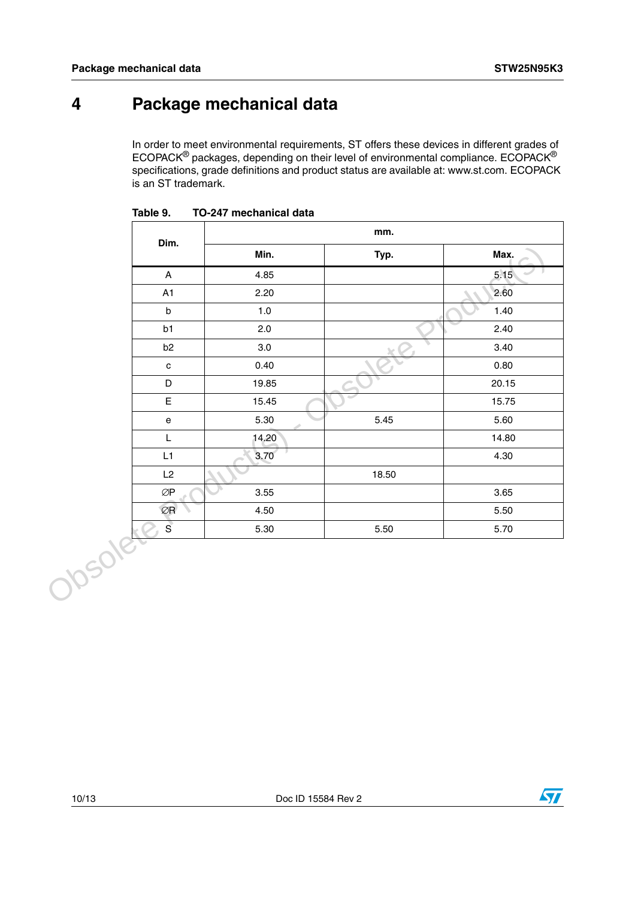## <span id="page-9-0"></span>**4 Package mechanical data**

In order to meet environmental requirements, ST offers these devices in different grades of ECOPACK® packages, depending on their level of environmental compliance. ECOPACK® specifications, grade definitions and product status are available at: www.st.com. ECOPACK is an ST trademark.

|         | Dim.                                 |         | mm.   |           |
|---------|--------------------------------------|---------|-------|-----------|
|         |                                      | Min.    | Typ.  | Max.      |
|         | $\boldsymbol{\mathsf{A}}$            | 4.85    |       | 5.15      |
|         | A1                                   | 2.20    |       | 2.60<br>╲ |
|         | $\sf b$                              | $1.0$   |       | 1.40      |
|         | b1                                   | 2.0     |       | 2.40      |
|         | b <sub>2</sub>                       | $3.0\,$ |       | 3.40      |
|         | $\mathbf c$                          | 0.40    |       | 0.80      |
|         | $\mathsf D$                          | 19.85   |       | 20.15     |
|         | $\mathsf E$                          | 15.45   |       | 15.75     |
|         | $\mathsf{e}% _{t}\left( t\right)$    | 5.30    | 5.45  | 5.60      |
|         | L                                    | 14,20   |       | 14.80     |
|         | L1                                   | 3.70    |       | 4.30      |
|         | L2                                   |         | 18.50 |           |
|         | $\oslash\!\operatorname{\mathsf{P}}$ | 3.55    |       | 3.65      |
|         | $\oslash$ R                          | 4.50    |       | 5.50      |
|         | $\mathbf{s}$                         | 5.30    | 5.50  | 5.70      |
| Obsolet |                                      |         |       |           |

**Table 9. TO-247 mechanical data**

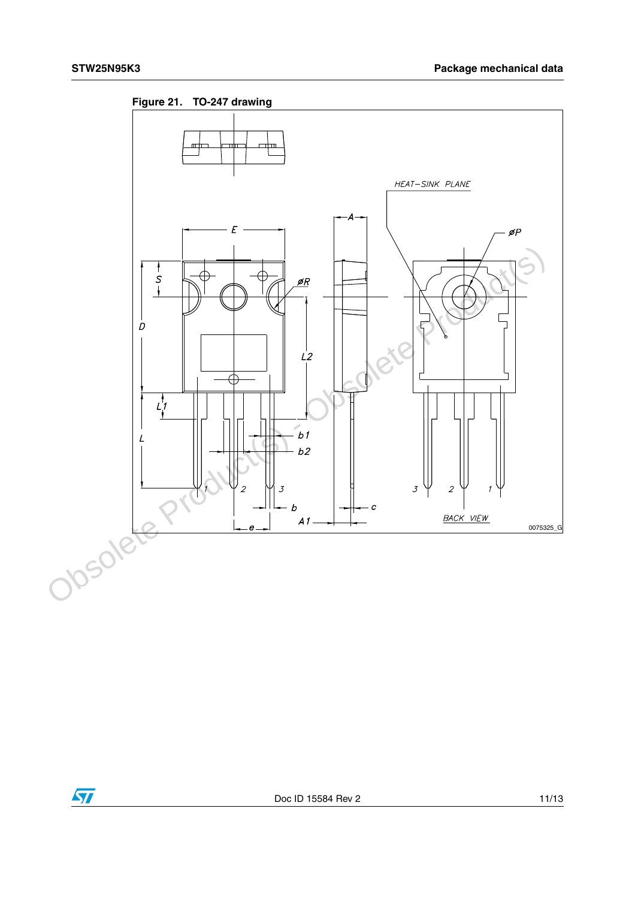



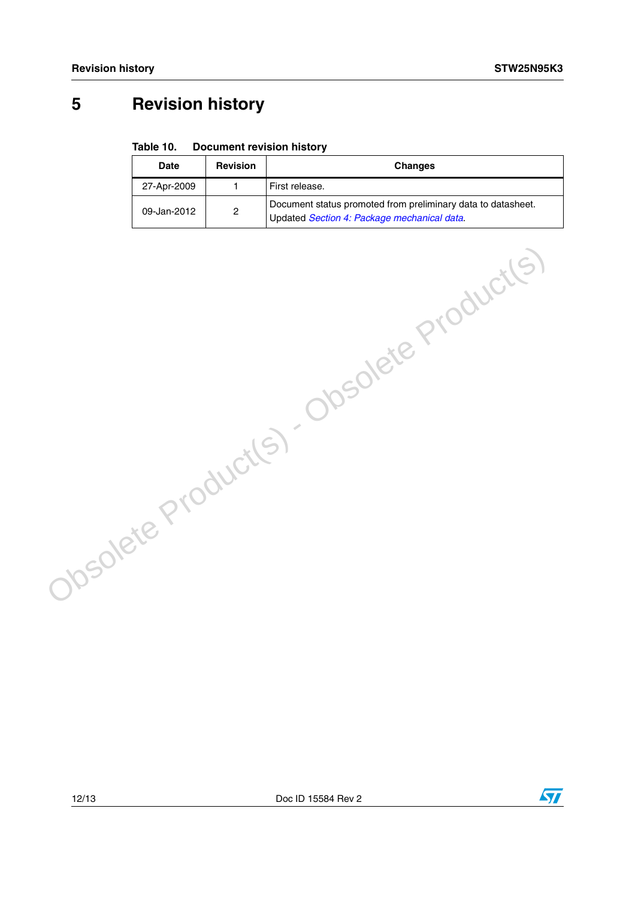## <span id="page-11-0"></span>**5 Revision history**

#### Table 10. **Document revision history**

| Date        | <b>Revision</b> | <b>Changes</b>                                                                                              |
|-------------|-----------------|-------------------------------------------------------------------------------------------------------------|
| 27-Apr-2009 |                 | First release.                                                                                              |
| 09-Jan-2012 | 2               | Document status promoted from preliminary data to datasheet.<br>Updated Section 4: Package mechanical data. |

Obsolete Product(s) - Obsolete Product(s)